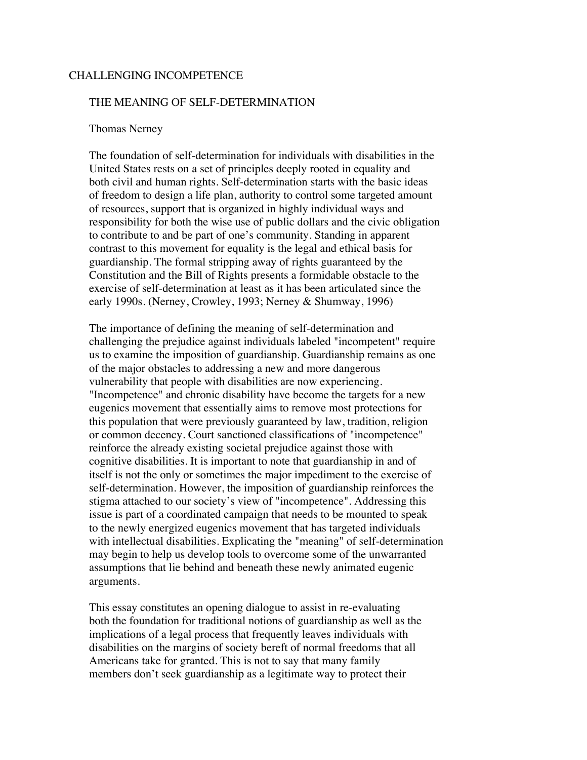## CHALLENGING INCOMPETENCE

## THE MEANING OF SELF-DETERMINATION

### Thomas Nerney

 The foundation of self-determination for individuals with disabilities in the United States rests on a set of principles deeply rooted in equality and both civil and human rights. Self-determination starts with the basic ideas of freedom to design a life plan, authority to control some targeted amount of resources, support that is organized in highly individual ways and responsibility for both the wise use of public dollars and the civic obligation to contribute to and be part of one's community. Standing in apparent contrast to this movement for equality is the legal and ethical basis for guardianship. The formal stripping away of rights guaranteed by the Constitution and the Bill of Rights presents a formidable obstacle to the exercise of self-determination at least as it has been articulated since the early 1990s. (Nerney, Crowley, 1993; Nerney & Shumway, 1996)

 The importance of defining the meaning of self-determination and challenging the prejudice against individuals labeled "incompetent" require us to examine the imposition of guardianship. Guardianship remains as one of the major obstacles to addressing a new and more dangerous vulnerability that people with disabilities are now experiencing. "Incompetence" and chronic disability have become the targets for a new eugenics movement that essentially aims to remove most protections for this population that were previously guaranteed by law, tradition, religion or common decency. Court sanctioned classifications of "incompetence" reinforce the already existing societal prejudice against those with cognitive disabilities. It is important to note that guardianship in and of itself is not the only or sometimes the major impediment to the exercise of self-determination. However, the imposition of guardianship reinforces the stigma attached to our society's view of "incompetence". Addressing this issue is part of a coordinated campaign that needs to be mounted to speak to the newly energized eugenics movement that has targeted individuals with intellectual disabilities. Explicating the "meaning" of self-determination may begin to help us develop tools to overcome some of the unwarranted assumptions that lie behind and beneath these newly animated eugenic arguments.

 This essay constitutes an opening dialogue to assist in re-evaluating both the foundation for traditional notions of guardianship as well as the implications of a legal process that frequently leaves individuals with disabilities on the margins of society bereft of normal freedoms that all Americans take for granted. This is not to say that many family members don't seek guardianship as a legitimate way to protect their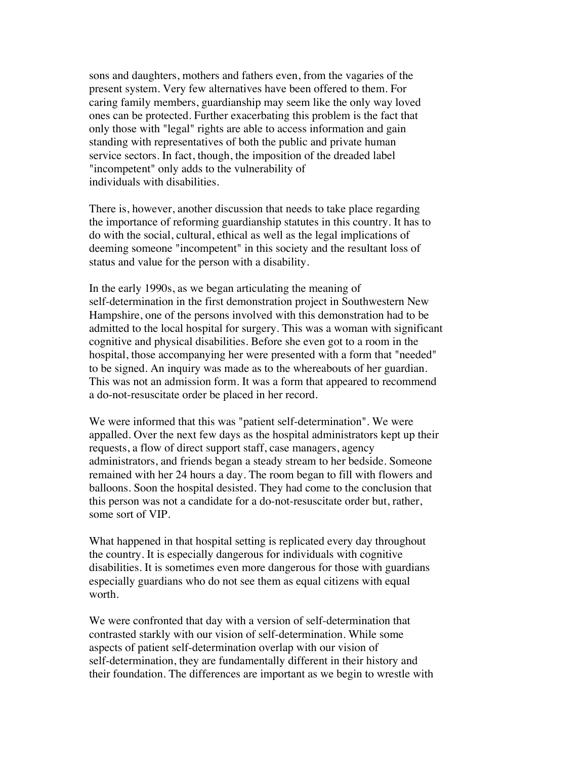sons and daughters, mothers and fathers even, from the vagaries of the present system. Very few alternatives have been offered to them. For caring family members, guardianship may seem like the only way loved ones can be protected. Further exacerbating this problem is the fact that only those with "legal" rights are able to access information and gain standing with representatives of both the public and private human service sectors. In fact, though, the imposition of the dreaded label "incompetent" only adds to the vulnerability of individuals with disabilities.

 There is, however, another discussion that needs to take place regarding the importance of reforming guardianship statutes in this country. It has to do with the social, cultural, ethical as well as the legal implications of deeming someone "incompetent" in this society and the resultant loss of status and value for the person with a disability.

 In the early 1990s, as we began articulating the meaning of self-determination in the first demonstration project in Southwestern New Hampshire, one of the persons involved with this demonstration had to be admitted to the local hospital for surgery. This was a woman with significant cognitive and physical disabilities. Before she even got to a room in the hospital, those accompanying her were presented with a form that "needed" to be signed. An inquiry was made as to the whereabouts of her guardian. This was not an admission form. It was a form that appeared to recommend a do-not-resuscitate order be placed in her record.

 We were informed that this was "patient self-determination". We were appalled. Over the next few days as the hospital administrators kept up their requests, a flow of direct support staff, case managers, agency administrators, and friends began a steady stream to her bedside. Someone remained with her 24 hours a day. The room began to fill with flowers and balloons. Soon the hospital desisted. They had come to the conclusion that this person was not a candidate for a do-not-resuscitate order but, rather, some sort of VIP.

 What happened in that hospital setting is replicated every day throughout the country. It is especially dangerous for individuals with cognitive disabilities. It is sometimes even more dangerous for those with guardians especially guardians who do not see them as equal citizens with equal worth.

 We were confronted that day with a version of self-determination that contrasted starkly with our vision of self-determination. While some aspects of patient self-determination overlap with our vision of self-determination, they are fundamentally different in their history and their foundation. The differences are important as we begin to wrestle with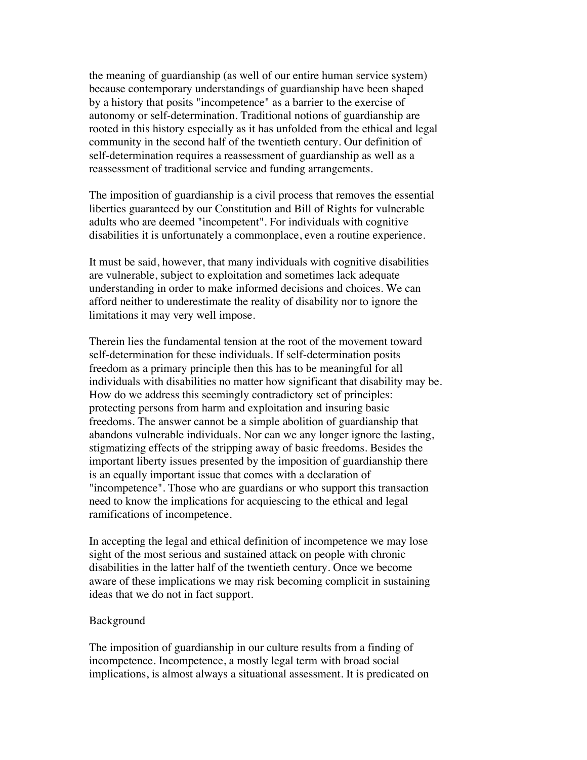the meaning of guardianship (as well of our entire human service system) because contemporary understandings of guardianship have been shaped by a history that posits "incompetence" as a barrier to the exercise of autonomy or self-determination. Traditional notions of guardianship are rooted in this history especially as it has unfolded from the ethical and legal community in the second half of the twentieth century. Our definition of self-determination requires a reassessment of guardianship as well as a reassessment of traditional service and funding arrangements.

 The imposition of guardianship is a civil process that removes the essential liberties guaranteed by our Constitution and Bill of Rights for vulnerable adults who are deemed "incompetent". For individuals with cognitive disabilities it is unfortunately a commonplace, even a routine experience.

 It must be said, however, that many individuals with cognitive disabilities are vulnerable, subject to exploitation and sometimes lack adequate understanding in order to make informed decisions and choices. We can afford neither to underestimate the reality of disability nor to ignore the limitations it may very well impose.

 Therein lies the fundamental tension at the root of the movement toward self-determination for these individuals. If self-determination posits freedom as a primary principle then this has to be meaningful for all individuals with disabilities no matter how significant that disability may be. How do we address this seemingly contradictory set of principles: protecting persons from harm and exploitation and insuring basic freedoms. The answer cannot be a simple abolition of guardianship that abandons vulnerable individuals. Nor can we any longer ignore the lasting, stigmatizing effects of the stripping away of basic freedoms. Besides the important liberty issues presented by the imposition of guardianship there is an equally important issue that comes with a declaration of "incompetence". Those who are guardians or who support this transaction need to know the implications for acquiescing to the ethical and legal ramifications of incompetence.

 In accepting the legal and ethical definition of incompetence we may lose sight of the most serious and sustained attack on people with chronic disabilities in the latter half of the twentieth century. Once we become aware of these implications we may risk becoming complicit in sustaining ideas that we do not in fact support.

### Background

 The imposition of guardianship in our culture results from a finding of incompetence. Incompetence, a mostly legal term with broad social implications, is almost always a situational assessment. It is predicated on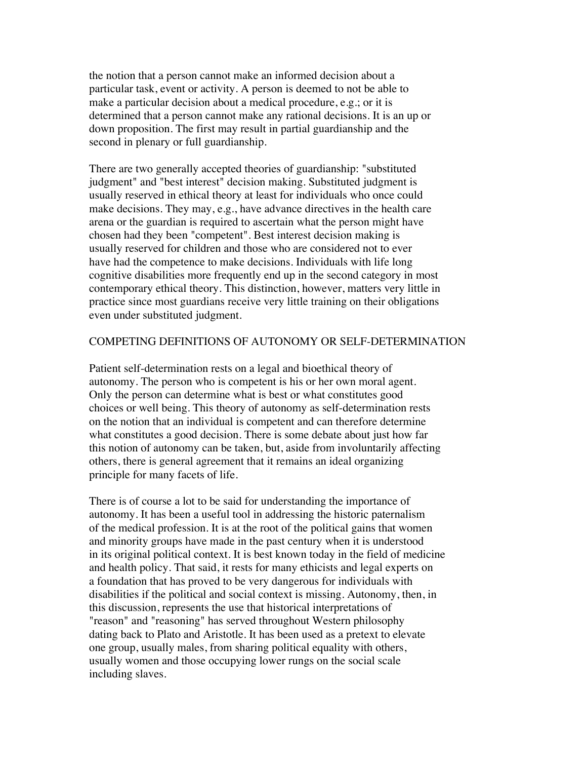the notion that a person cannot make an informed decision about a particular task, event or activity. A person is deemed to not be able to make a particular decision about a medical procedure, e.g.; or it is determined that a person cannot make any rational decisions. It is an up or down proposition. The first may result in partial guardianship and the second in plenary or full guardianship.

 There are two generally accepted theories of guardianship: "substituted judgment" and "best interest" decision making. Substituted judgment is usually reserved in ethical theory at least for individuals who once could make decisions. They may, e.g., have advance directives in the health care arena or the guardian is required to ascertain what the person might have chosen had they been "competent". Best interest decision making is usually reserved for children and those who are considered not to ever have had the competence to make decisions. Individuals with life long cognitive disabilities more frequently end up in the second category in most contemporary ethical theory. This distinction, however, matters very little in practice since most guardians receive very little training on their obligations even under substituted judgment.

## COMPETING DEFINITIONS OF AUTONOMY OR SELF-DETERMINATION

 Patient self-determination rests on a legal and bioethical theory of autonomy. The person who is competent is his or her own moral agent. Only the person can determine what is best or what constitutes good choices or well being. This theory of autonomy as self-determination rests on the notion that an individual is competent and can therefore determine what constitutes a good decision. There is some debate about just how far this notion of autonomy can be taken, but, aside from involuntarily affecting others, there is general agreement that it remains an ideal organizing principle for many facets of life.

 There is of course a lot to be said for understanding the importance of autonomy. It has been a useful tool in addressing the historic paternalism of the medical profession. It is at the root of the political gains that women and minority groups have made in the past century when it is understood in its original political context. It is best known today in the field of medicine and health policy. That said, it rests for many ethicists and legal experts on a foundation that has proved to be very dangerous for individuals with disabilities if the political and social context is missing. Autonomy, then, in this discussion, represents the use that historical interpretations of "reason" and "reasoning" has served throughout Western philosophy dating back to Plato and Aristotle. It has been used as a pretext to elevate one group, usually males, from sharing political equality with others, usually women and those occupying lower rungs on the social scale including slaves.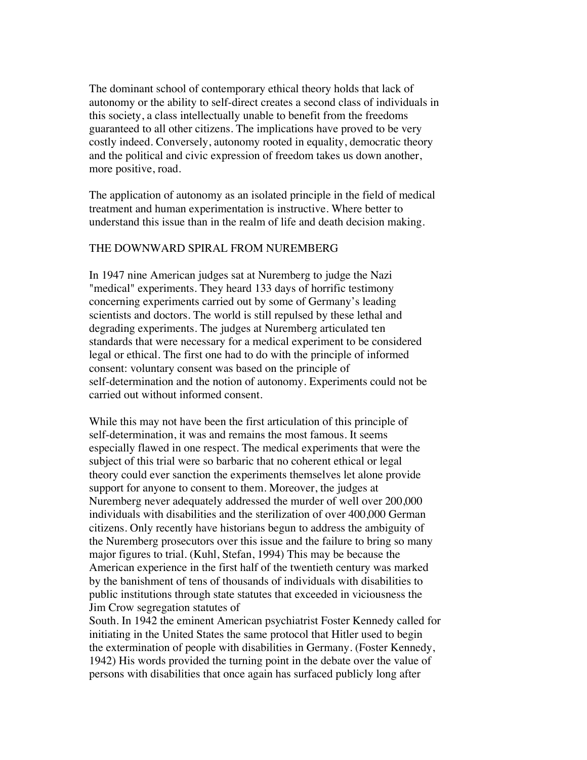The dominant school of contemporary ethical theory holds that lack of autonomy or the ability to self-direct creates a second class of individuals in this society, a class intellectually unable to benefit from the freedoms guaranteed to all other citizens. The implications have proved to be very costly indeed. Conversely, autonomy rooted in equality, democratic theory and the political and civic expression of freedom takes us down another, more positive, road.

 The application of autonomy as an isolated principle in the field of medical treatment and human experimentation is instructive. Where better to understand this issue than in the realm of life and death decision making.

## THE DOWNWARD SPIRAL FROM NUREMBERG

 In 1947 nine American judges sat at Nuremberg to judge the Nazi "medical" experiments. They heard 133 days of horrific testimony concerning experiments carried out by some of Germany's leading scientists and doctors. The world is still repulsed by these lethal and degrading experiments. The judges at Nuremberg articulated ten standards that were necessary for a medical experiment to be considered legal or ethical. The first one had to do with the principle of informed consent: voluntary consent was based on the principle of self-determination and the notion of autonomy. Experiments could not be carried out without informed consent.

 While this may not have been the first articulation of this principle of self-determination, it was and remains the most famous. It seems especially flawed in one respect. The medical experiments that were the subject of this trial were so barbaric that no coherent ethical or legal theory could ever sanction the experiments themselves let alone provide support for anyone to consent to them. Moreover, the judges at Nuremberg never adequately addressed the murder of well over 200,000 individuals with disabilities and the sterilization of over 400,000 German citizens. Only recently have historians begun to address the ambiguity of the Nuremberg prosecutors over this issue and the failure to bring so many major figures to trial. (Kuhl, Stefan, 1994) This may be because the American experience in the first half of the twentieth century was marked by the banishment of tens of thousands of individuals with disabilities to public institutions through state statutes that exceeded in viciousness the Jim Crow segregation statutes of

 South. In 1942 the eminent American psychiatrist Foster Kennedy called for initiating in the United States the same protocol that Hitler used to begin the extermination of people with disabilities in Germany. (Foster Kennedy, 1942) His words provided the turning point in the debate over the value of persons with disabilities that once again has surfaced publicly long after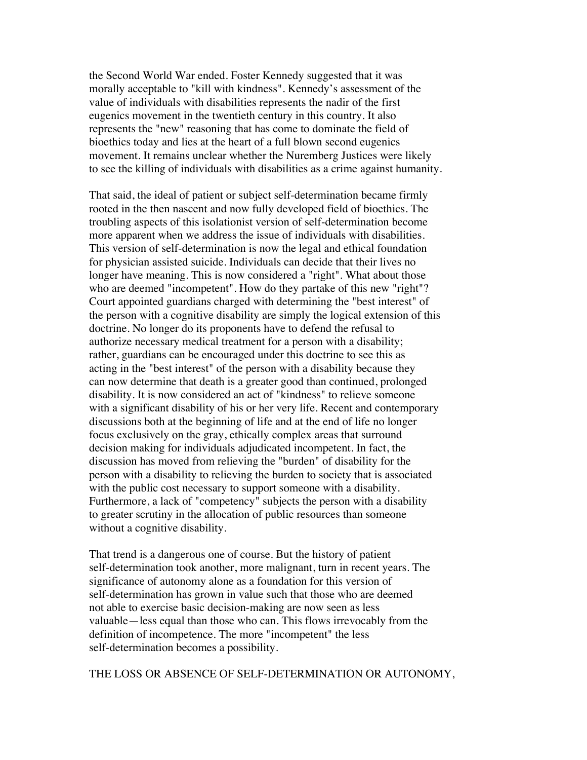the Second World War ended. Foster Kennedy suggested that it was morally acceptable to "kill with kindness". Kennedy's assessment of the value of individuals with disabilities represents the nadir of the first eugenics movement in the twentieth century in this country. It also represents the "new" reasoning that has come to dominate the field of bioethics today and lies at the heart of a full blown second eugenics movement. It remains unclear whether the Nuremberg Justices were likely to see the killing of individuals with disabilities as a crime against humanity.

 That said, the ideal of patient or subject self-determination became firmly rooted in the then nascent and now fully developed field of bioethics. The troubling aspects of this isolationist version of self-determination become more apparent when we address the issue of individuals with disabilities. This version of self-determination is now the legal and ethical foundation for physician assisted suicide. Individuals can decide that their lives no longer have meaning. This is now considered a "right". What about those who are deemed "incompetent". How do they partake of this new "right"? Court appointed guardians charged with determining the "best interest" of the person with a cognitive disability are simply the logical extension of this doctrine. No longer do its proponents have to defend the refusal to authorize necessary medical treatment for a person with a disability; rather, guardians can be encouraged under this doctrine to see this as acting in the "best interest" of the person with a disability because they can now determine that death is a greater good than continued, prolonged disability. It is now considered an act of "kindness" to relieve someone with a significant disability of his or her very life. Recent and contemporary discussions both at the beginning of life and at the end of life no longer focus exclusively on the gray, ethically complex areas that surround decision making for individuals adjudicated incompetent. In fact, the discussion has moved from relieving the "burden" of disability for the person with a disability to relieving the burden to society that is associated with the public cost necessary to support someone with a disability. Furthermore, a lack of "competency" subjects the person with a disability to greater scrutiny in the allocation of public resources than someone without a cognitive disability.

 That trend is a dangerous one of course. But the history of patient self-determination took another, more malignant, turn in recent years. The significance of autonomy alone as a foundation for this version of self-determination has grown in value such that those who are deemed not able to exercise basic decision-making are now seen as less valuable—less equal than those who can. This flows irrevocably from the definition of incompetence. The more "incompetent" the less self-determination becomes a possibility.

THE LOSS OR ABSENCE OF SELF-DETERMINATION OR AUTONOMY,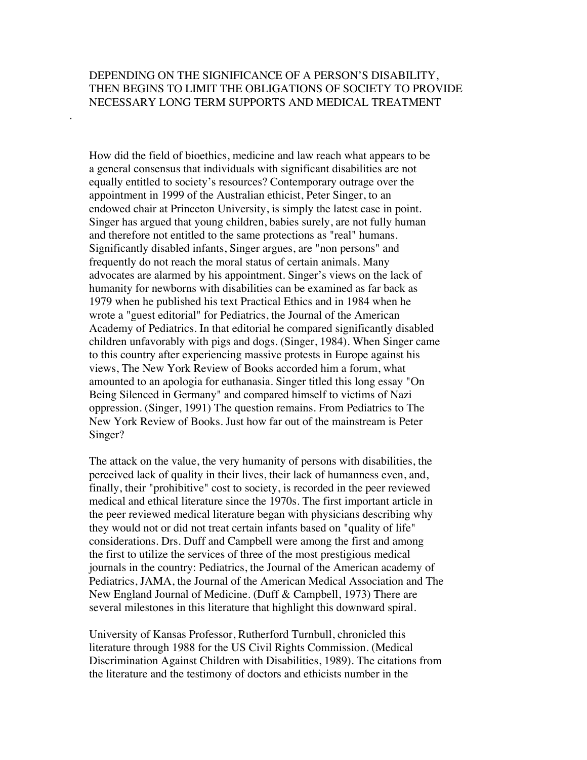# DEPENDING ON THE SIGNIFICANCE OF A PERSON'S DISABILITY, THEN BEGINS TO LIMIT THE OBLIGATIONS OF SOCIETY TO PROVIDE NECESSARY LONG TERM SUPPORTS AND MEDICAL TREATMENT

.

 How did the field of bioethics, medicine and law reach what appears to be a general consensus that individuals with significant disabilities are not equally entitled to society's resources? Contemporary outrage over the appointment in 1999 of the Australian ethicist, Peter Singer, to an endowed chair at Princeton University, is simply the latest case in point. Singer has argued that young children, babies surely, are not fully human and therefore not entitled to the same protections as "real" humans. Significantly disabled infants, Singer argues, are "non persons" and frequently do not reach the moral status of certain animals. Many advocates are alarmed by his appointment. Singer's views on the lack of humanity for newborns with disabilities can be examined as far back as 1979 when he published his text Practical Ethics and in 1984 when he wrote a "guest editorial" for Pediatrics, the Journal of the American Academy of Pediatrics. In that editorial he compared significantly disabled children unfavorably with pigs and dogs. (Singer, 1984). When Singer came to this country after experiencing massive protests in Europe against his views, The New York Review of Books accorded him a forum, what amounted to an apologia for euthanasia. Singer titled this long essay "On Being Silenced in Germany" and compared himself to victims of Nazi oppression. (Singer, 1991) The question remains. From Pediatrics to The New York Review of Books. Just how far out of the mainstream is Peter Singer?

 The attack on the value, the very humanity of persons with disabilities, the perceived lack of quality in their lives, their lack of humanness even, and, finally, their "prohibitive" cost to society, is recorded in the peer reviewed medical and ethical literature since the 1970s. The first important article in the peer reviewed medical literature began with physicians describing why they would not or did not treat certain infants based on "quality of life" considerations. Drs. Duff and Campbell were among the first and among the first to utilize the services of three of the most prestigious medical journals in the country: Pediatrics, the Journal of the American academy of Pediatrics, JAMA, the Journal of the American Medical Association and The New England Journal of Medicine. (Duff & Campbell, 1973) There are several milestones in this literature that highlight this downward spiral.

 University of Kansas Professor, Rutherford Turnbull, chronicled this literature through 1988 for the US Civil Rights Commission. (Medical Discrimination Against Children with Disabilities, 1989). The citations from the literature and the testimony of doctors and ethicists number in the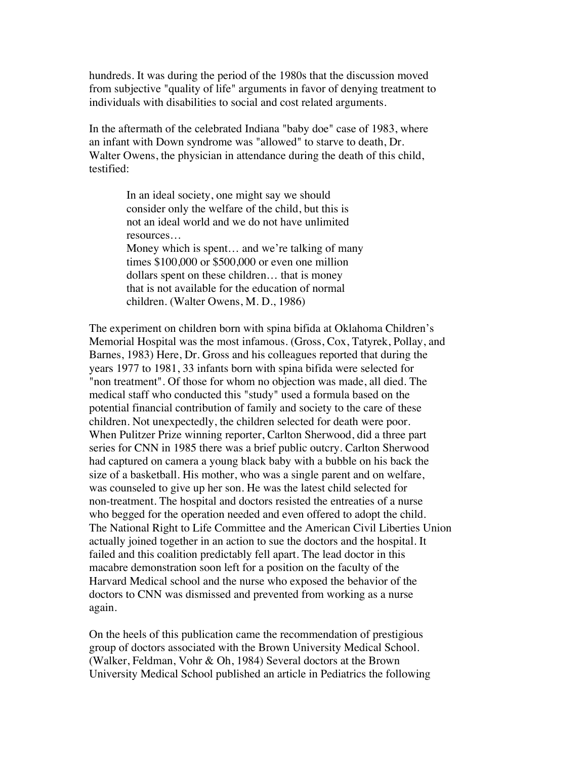hundreds. It was during the period of the 1980s that the discussion moved from subjective "quality of life" arguments in favor of denying treatment to individuals with disabilities to social and cost related arguments.

 In the aftermath of the celebrated Indiana "baby doe" case of 1983, where an infant with Down syndrome was "allowed" to starve to death, Dr. Walter Owens, the physician in attendance during the death of this child, testified:

> In an ideal society, one might say we should consider only the welfare of the child, but this is not an ideal world and we do not have unlimited resources… Money which is spent... and we're talking of many times \$100,000 or \$500,000 or even one million dollars spent on these children… that is money that is not available for the education of normal children. (Walter Owens, M. D., 1986)

 The experiment on children born with spina bifida at Oklahoma Children's Memorial Hospital was the most infamous. (Gross, Cox, Tatyrek, Pollay, and Barnes, 1983) Here, Dr. Gross and his colleagues reported that during the years 1977 to 1981, 33 infants born with spina bifida were selected for "non treatment". Of those for whom no objection was made, all died. The medical staff who conducted this "study" used a formula based on the potential financial contribution of family and society to the care of these children. Not unexpectedly, the children selected for death were poor. When Pulitzer Prize winning reporter, Carlton Sherwood, did a three part series for CNN in 1985 there was a brief public outcry. Carlton Sherwood had captured on camera a young black baby with a bubble on his back the size of a basketball. His mother, who was a single parent and on welfare, was counseled to give up her son. He was the latest child selected for non-treatment. The hospital and doctors resisted the entreaties of a nurse who begged for the operation needed and even offered to adopt the child. The National Right to Life Committee and the American Civil Liberties Union actually joined together in an action to sue the doctors and the hospital. It failed and this coalition predictably fell apart. The lead doctor in this macabre demonstration soon left for a position on the faculty of the Harvard Medical school and the nurse who exposed the behavior of the doctors to CNN was dismissed and prevented from working as a nurse again.

 On the heels of this publication came the recommendation of prestigious group of doctors associated with the Brown University Medical School. (Walker, Feldman, Vohr & Oh, 1984) Several doctors at the Brown University Medical School published an article in Pediatrics the following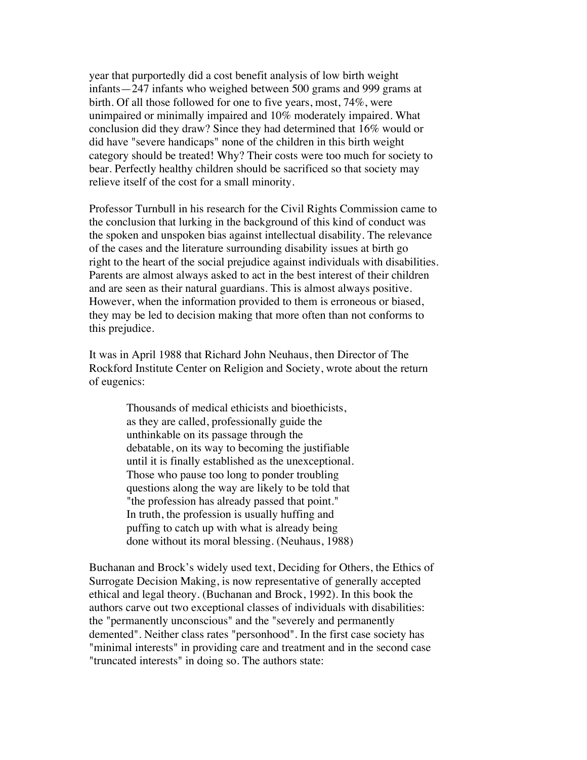year that purportedly did a cost benefit analysis of low birth weight infants—247 infants who weighed between 500 grams and 999 grams at birth. Of all those followed for one to five years, most, 74%, were unimpaired or minimally impaired and 10% moderately impaired. What conclusion did they draw? Since they had determined that 16% would or did have "severe handicaps" none of the children in this birth weight category should be treated! Why? Their costs were too much for society to bear. Perfectly healthy children should be sacrificed so that society may relieve itself of the cost for a small minority.

 Professor Turnbull in his research for the Civil Rights Commission came to the conclusion that lurking in the background of this kind of conduct was the spoken and unspoken bias against intellectual disability. The relevance of the cases and the literature surrounding disability issues at birth go right to the heart of the social prejudice against individuals with disabilities. Parents are almost always asked to act in the best interest of their children and are seen as their natural guardians. This is almost always positive. However, when the information provided to them is erroneous or biased, they may be led to decision making that more often than not conforms to this prejudice.

 It was in April 1988 that Richard John Neuhaus, then Director of The Rockford Institute Center on Religion and Society, wrote about the return of eugenics:

> Thousands of medical ethicists and bioethicists, as they are called, professionally guide the unthinkable on its passage through the debatable, on its way to becoming the justifiable until it is finally established as the unexceptional. Those who pause too long to ponder troubling questions along the way are likely to be told that "the profession has already passed that point." In truth, the profession is usually huffing and puffing to catch up with what is already being done without its moral blessing. (Neuhaus, 1988)

 Buchanan and Brock's widely used text, Deciding for Others, the Ethics of Surrogate Decision Making, is now representative of generally accepted ethical and legal theory. (Buchanan and Brock, 1992). In this book the authors carve out two exceptional classes of individuals with disabilities: the "permanently unconscious" and the "severely and permanently demented". Neither class rates "personhood". In the first case society has "minimal interests" in providing care and treatment and in the second case "truncated interests" in doing so. The authors state: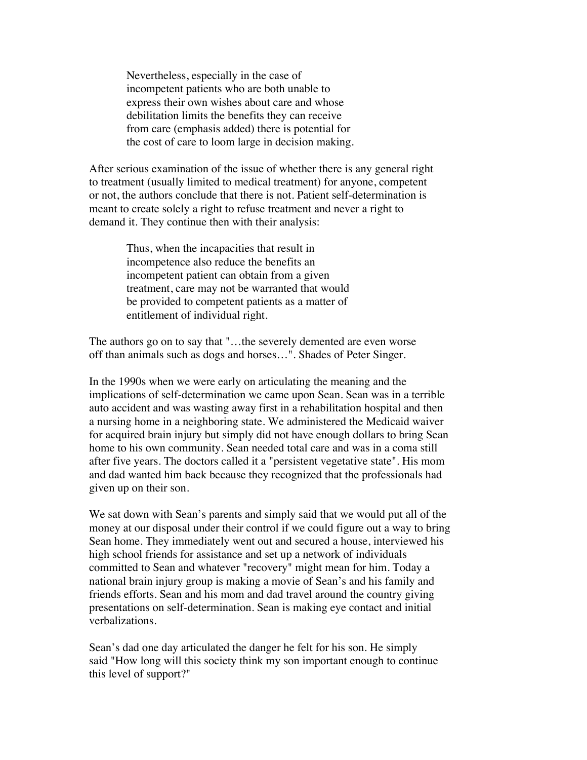Nevertheless, especially in the case of incompetent patients who are both unable to express their own wishes about care and whose debilitation limits the benefits they can receive from care (emphasis added) there is potential for the cost of care to loom large in decision making.

 After serious examination of the issue of whether there is any general right to treatment (usually limited to medical treatment) for anyone, competent or not, the authors conclude that there is not. Patient self-determination is meant to create solely a right to refuse treatment and never a right to demand it. They continue then with their analysis:

> Thus, when the incapacities that result in incompetence also reduce the benefits an incompetent patient can obtain from a given treatment, care may not be warranted that would be provided to competent patients as a matter of entitlement of individual right.

 The authors go on to say that "…the severely demented are even worse off than animals such as dogs and horses…". Shades of Peter Singer.

 In the 1990s when we were early on articulating the meaning and the implications of self-determination we came upon Sean. Sean was in a terrible auto accident and was wasting away first in a rehabilitation hospital and then a nursing home in a neighboring state. We administered the Medicaid waiver for acquired brain injury but simply did not have enough dollars to bring Sean home to his own community. Sean needed total care and was in a coma still after five years. The doctors called it a "persistent vegetative state". His mom and dad wanted him back because they recognized that the professionals had given up on their son.

 We sat down with Sean's parents and simply said that we would put all of the money at our disposal under their control if we could figure out a way to bring Sean home. They immediately went out and secured a house, interviewed his high school friends for assistance and set up a network of individuals committed to Sean and whatever "recovery" might mean for him. Today a national brain injury group is making a movie of Sean's and his family and friends efforts. Sean and his mom and dad travel around the country giving presentations on self-determination. Sean is making eye contact and initial verbalizations.

 Sean's dad one day articulated the danger he felt for his son. He simply said "How long will this society think my son important enough to continue this level of support?"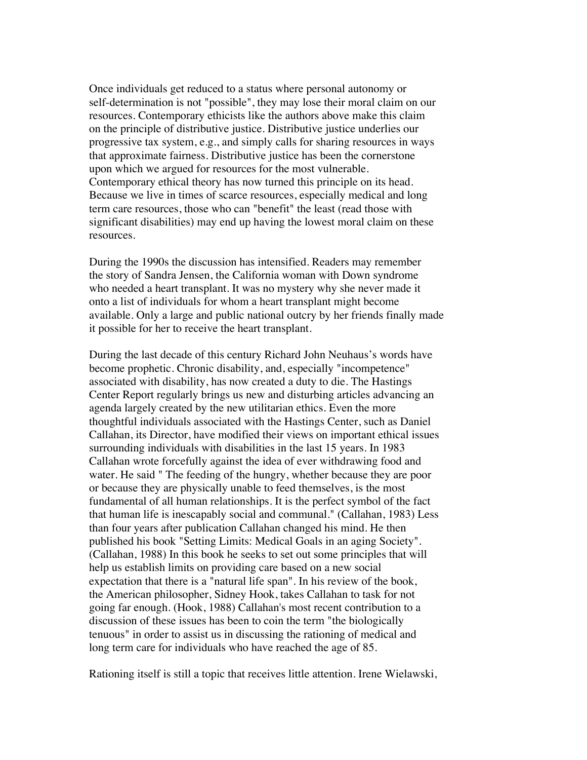Once individuals get reduced to a status where personal autonomy or self-determination is not "possible", they may lose their moral claim on our resources. Contemporary ethicists like the authors above make this claim on the principle of distributive justice. Distributive justice underlies our progressive tax system, e.g., and simply calls for sharing resources in ways that approximate fairness. Distributive justice has been the cornerstone upon which we argued for resources for the most vulnerable. Contemporary ethical theory has now turned this principle on its head. Because we live in times of scarce resources, especially medical and long term care resources, those who can "benefit" the least (read those with significant disabilities) may end up having the lowest moral claim on these resources.

 During the 1990s the discussion has intensified. Readers may remember the story of Sandra Jensen, the California woman with Down syndrome who needed a heart transplant. It was no mystery why she never made it onto a list of individuals for whom a heart transplant might become available. Only a large and public national outcry by her friends finally made it possible for her to receive the heart transplant.

 During the last decade of this century Richard John Neuhaus's words have become prophetic. Chronic disability, and, especially "incompetence" associated with disability, has now created a duty to die. The Hastings Center Report regularly brings us new and disturbing articles advancing an agenda largely created by the new utilitarian ethics. Even the more thoughtful individuals associated with the Hastings Center, such as Daniel Callahan, its Director, have modified their views on important ethical issues surrounding individuals with disabilities in the last 15 years. In 1983 Callahan wrote forcefully against the idea of ever withdrawing food and water. He said " The feeding of the hungry, whether because they are poor or because they are physically unable to feed themselves, is the most fundamental of all human relationships. It is the perfect symbol of the fact that human life is inescapably social and communal." (Callahan, 1983) Less than four years after publication Callahan changed his mind. He then published his book "Setting Limits: Medical Goals in an aging Society". (Callahan, 1988) In this book he seeks to set out some principles that will help us establish limits on providing care based on a new social expectation that there is a "natural life span". In his review of the book, the American philosopher, Sidney Hook, takes Callahan to task for not going far enough. (Hook, 1988) Callahan's most recent contribution to a discussion of these issues has been to coin the term "the biologically tenuous" in order to assist us in discussing the rationing of medical and long term care for individuals who have reached the age of 85.

Rationing itself is still a topic that receives little attention. Irene Wielawski,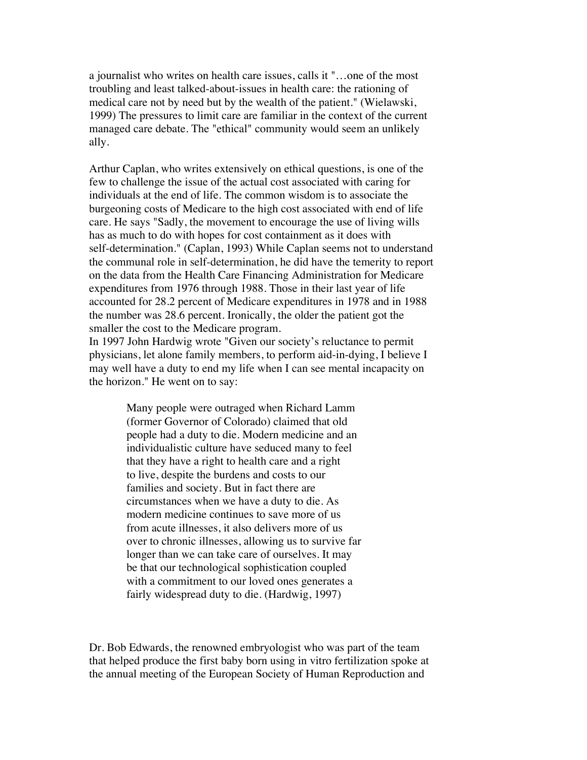a journalist who writes on health care issues, calls it "…one of the most troubling and least talked-about-issues in health care: the rationing of medical care not by need but by the wealth of the patient." (Wielawski, 1999) The pressures to limit care are familiar in the context of the current managed care debate. The "ethical" community would seem an unlikely ally.

 Arthur Caplan, who writes extensively on ethical questions, is one of the few to challenge the issue of the actual cost associated with caring for individuals at the end of life. The common wisdom is to associate the burgeoning costs of Medicare to the high cost associated with end of life care. He says "Sadly, the movement to encourage the use of living wills has as much to do with hopes for cost containment as it does with self-determination." (Caplan, 1993) While Caplan seems not to understand the communal role in self-determination, he did have the temerity to report on the data from the Health Care Financing Administration for Medicare expenditures from 1976 through 1988. Those in their last year of life accounted for 28.2 percent of Medicare expenditures in 1978 and in 1988 the number was 28.6 percent. Ironically, the older the patient got the smaller the cost to the Medicare program.

 In 1997 John Hardwig wrote "Given our society's reluctance to permit physicians, let alone family members, to perform aid-in-dying, I believe I may well have a duty to end my life when I can see mental incapacity on the horizon." He went on to say:

> Many people were outraged when Richard Lamm (former Governor of Colorado) claimed that old people had a duty to die. Modern medicine and an individualistic culture have seduced many to feel that they have a right to health care and a right to live, despite the burdens and costs to our families and society. But in fact there are circumstances when we have a duty to die. As modern medicine continues to save more of us from acute illnesses, it also delivers more of us over to chronic illnesses, allowing us to survive far longer than we can take care of ourselves. It may be that our technological sophistication coupled with a commitment to our loved ones generates a fairly widespread duty to die. (Hardwig, 1997)

 Dr. Bob Edwards, the renowned embryologist who was part of the team that helped produce the first baby born using in vitro fertilization spoke at the annual meeting of the European Society of Human Reproduction and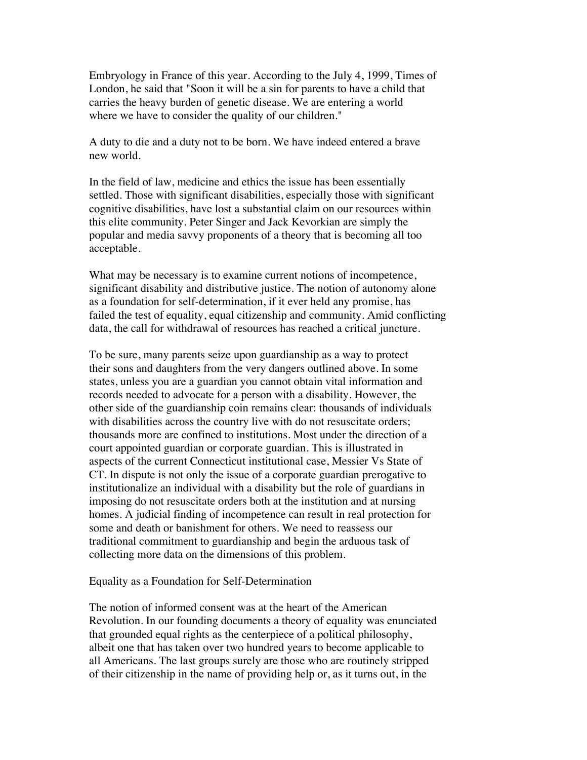Embryology in France of this year. According to the July 4, 1999, Times of London, he said that "Soon it will be a sin for parents to have a child that carries the heavy burden of genetic disease. We are entering a world where we have to consider the quality of our children."

 A duty to die and a duty not to be born. We have indeed entered a brave new world.

 In the field of law, medicine and ethics the issue has been essentially settled. Those with significant disabilities, especially those with significant cognitive disabilities, have lost a substantial claim on our resources within this elite community. Peter Singer and Jack Kevorkian are simply the popular and media savvy proponents of a theory that is becoming all too acceptable.

 What may be necessary is to examine current notions of incompetence, significant disability and distributive justice. The notion of autonomy alone as a foundation for self-determination, if it ever held any promise, has failed the test of equality, equal citizenship and community. Amid conflicting data, the call for withdrawal of resources has reached a critical juncture.

 To be sure, many parents seize upon guardianship as a way to protect their sons and daughters from the very dangers outlined above. In some states, unless you are a guardian you cannot obtain vital information and records needed to advocate for a person with a disability. However, the other side of the guardianship coin remains clear: thousands of individuals with disabilities across the country live with do not resuscitate orders; thousands more are confined to institutions. Most under the direction of a court appointed guardian or corporate guardian. This is illustrated in aspects of the current Connecticut institutional case, Messier Vs State of CT. In dispute is not only the issue of a corporate guardian prerogative to institutionalize an individual with a disability but the role of guardians in imposing do not resuscitate orders both at the institution and at nursing homes. A judicial finding of incompetence can result in real protection for some and death or banishment for others. We need to reassess our traditional commitment to guardianship and begin the arduous task of collecting more data on the dimensions of this problem.

## Equality as a Foundation for Self-Determination

 The notion of informed consent was at the heart of the American Revolution. In our founding documents a theory of equality was enunciated that grounded equal rights as the centerpiece of a political philosophy, albeit one that has taken over two hundred years to become applicable to all Americans. The last groups surely are those who are routinely stripped of their citizenship in the name of providing help or, as it turns out, in the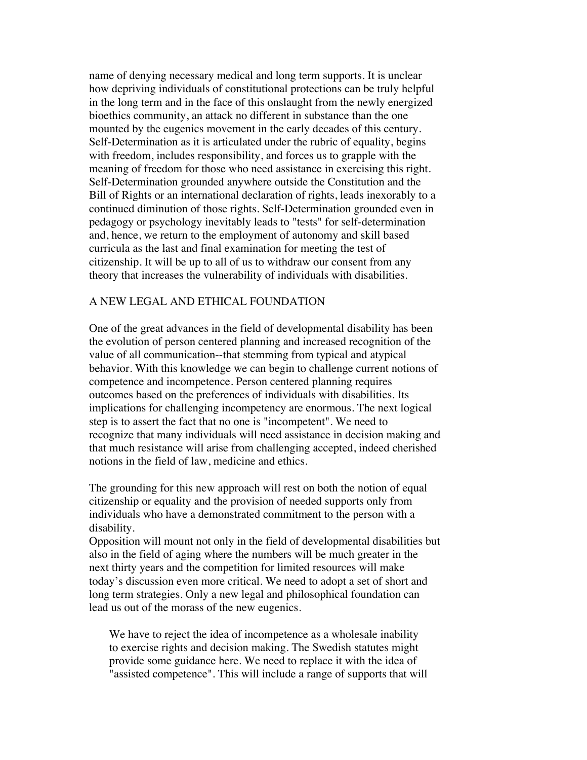name of denying necessary medical and long term supports. It is unclear how depriving individuals of constitutional protections can be truly helpful in the long term and in the face of this onslaught from the newly energized bioethics community, an attack no different in substance than the one mounted by the eugenics movement in the early decades of this century. Self-Determination as it is articulated under the rubric of equality, begins with freedom, includes responsibility, and forces us to grapple with the meaning of freedom for those who need assistance in exercising this right. Self-Determination grounded anywhere outside the Constitution and the Bill of Rights or an international declaration of rights, leads inexorably to a continued diminution of those rights. Self-Determination grounded even in pedagogy or psychology inevitably leads to "tests" for self-determination and, hence, we return to the employment of autonomy and skill based curricula as the last and final examination for meeting the test of citizenship. It will be up to all of us to withdraw our consent from any theory that increases the vulnerability of individuals with disabilities.

## A NEW LEGAL AND ETHICAL FOUNDATION

 One of the great advances in the field of developmental disability has been the evolution of person centered planning and increased recognition of the value of all communication--that stemming from typical and atypical behavior. With this knowledge we can begin to challenge current notions of competence and incompetence. Person centered planning requires outcomes based on the preferences of individuals with disabilities. Its implications for challenging incompetency are enormous. The next logical step is to assert the fact that no one is "incompetent". We need to recognize that many individuals will need assistance in decision making and that much resistance will arise from challenging accepted, indeed cherished notions in the field of law, medicine and ethics.

 The grounding for this new approach will rest on both the notion of equal citizenship or equality and the provision of needed supports only from individuals who have a demonstrated commitment to the person with a disability.

 Opposition will mount not only in the field of developmental disabilities but also in the field of aging where the numbers will be much greater in the next thirty years and the competition for limited resources will make today's discussion even more critical. We need to adopt a set of short and long term strategies. Only a new legal and philosophical foundation can lead us out of the morass of the new eugenics.

 We have to reject the idea of incompetence as a wholesale inability to exercise rights and decision making. The Swedish statutes might provide some guidance here. We need to replace it with the idea of "assisted competence". This will include a range of supports that will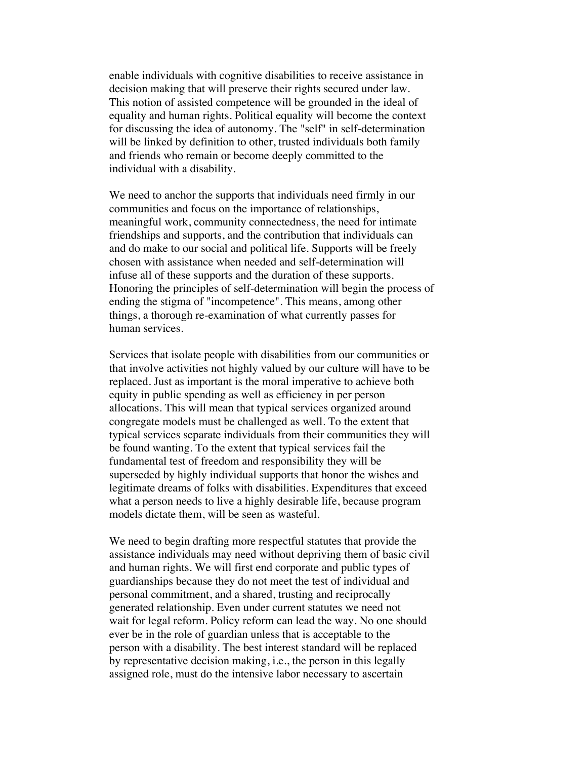enable individuals with cognitive disabilities to receive assistance in decision making that will preserve their rights secured under law. This notion of assisted competence will be grounded in the ideal of equality and human rights. Political equality will become the context for discussing the idea of autonomy. The "self" in self-determination will be linked by definition to other, trusted individuals both family and friends who remain or become deeply committed to the individual with a disability.

 We need to anchor the supports that individuals need firmly in our communities and focus on the importance of relationships, meaningful work, community connectedness, the need for intimate friendships and supports, and the contribution that individuals can and do make to our social and political life. Supports will be freely chosen with assistance when needed and self-determination will infuse all of these supports and the duration of these supports. Honoring the principles of self-determination will begin the process of ending the stigma of "incompetence". This means, among other things, a thorough re-examination of what currently passes for human services.

 Services that isolate people with disabilities from our communities or that involve activities not highly valued by our culture will have to be replaced. Just as important is the moral imperative to achieve both equity in public spending as well as efficiency in per person allocations. This will mean that typical services organized around congregate models must be challenged as well. To the extent that typical services separate individuals from their communities they will be found wanting. To the extent that typical services fail the fundamental test of freedom and responsibility they will be superseded by highly individual supports that honor the wishes and legitimate dreams of folks with disabilities. Expenditures that exceed what a person needs to live a highly desirable life, because program models dictate them, will be seen as wasteful.

 We need to begin drafting more respectful statutes that provide the assistance individuals may need without depriving them of basic civil and human rights. We will first end corporate and public types of guardianships because they do not meet the test of individual and personal commitment, and a shared, trusting and reciprocally generated relationship. Even under current statutes we need not wait for legal reform. Policy reform can lead the way. No one should ever be in the role of guardian unless that is acceptable to the person with a disability. The best interest standard will be replaced by representative decision making, i.e., the person in this legally assigned role, must do the intensive labor necessary to ascertain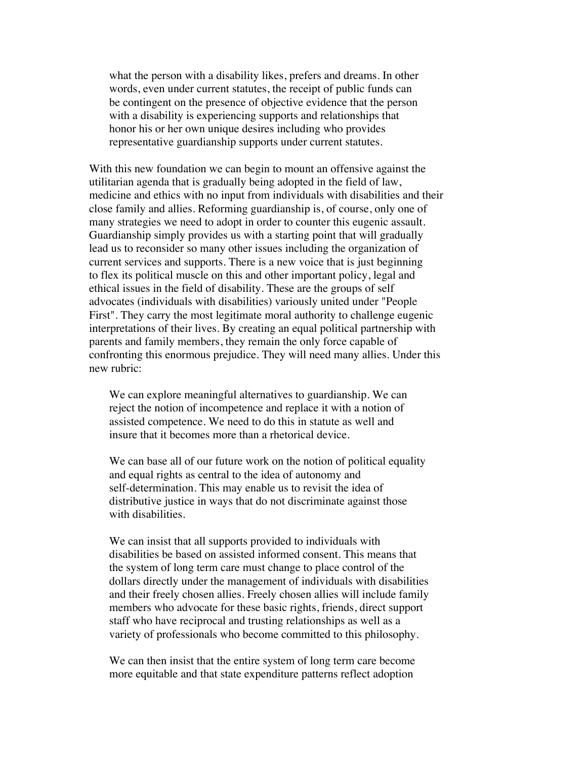what the person with a disability likes, prefers and dreams. In other words, even under current statutes, the receipt of public funds can be contingent on the presence of objective evidence that the person with a disability is experiencing supports and relationships that honor his or her own unique desires including who provides representative guardianship supports under current statutes.

 With this new foundation we can begin to mount an offensive against the utilitarian agenda that is gradually being adopted in the field of law, medicine and ethics with no input from individuals with disabilities and their close family and allies. Reforming guardianship is, of course, only one of many strategies we need to adopt in order to counter this eugenic assault. Guardianship simply provides us with a starting point that will gradually lead us to reconsider so many other issues including the organization of current services and supports. There is a new voice that is just beginning to flex its political muscle on this and other important policy, legal and ethical issues in the field of disability. These are the groups of self advocates (individuals with disabilities) variously united under "People First". They carry the most legitimate moral authority to challenge eugenic interpretations of their lives. By creating an equal political partnership with parents and family members, they remain the only force capable of confronting this enormous prejudice. They will need many allies. Under this new rubric:

 We can explore meaningful alternatives to guardianship. We can reject the notion of incompetence and replace it with a notion of assisted competence. We need to do this in statute as well and insure that it becomes more than a rhetorical device.

We can base all of our future work on the notion of political equality and equal rights as central to the idea of autonomy and self-determination. This may enable us to revisit the idea of distributive justice in ways that do not discriminate against those with disabilities.

 We can insist that all supports provided to individuals with disabilities be based on assisted informed consent. This means that the system of long term care must change to place control of the dollars directly under the management of individuals with disabilities and their freely chosen allies. Freely chosen allies will include family members who advocate for these basic rights, friends, direct support staff who have reciprocal and trusting relationships as well as a variety of professionals who become committed to this philosophy.

 We can then insist that the entire system of long term care become more equitable and that state expenditure patterns reflect adoption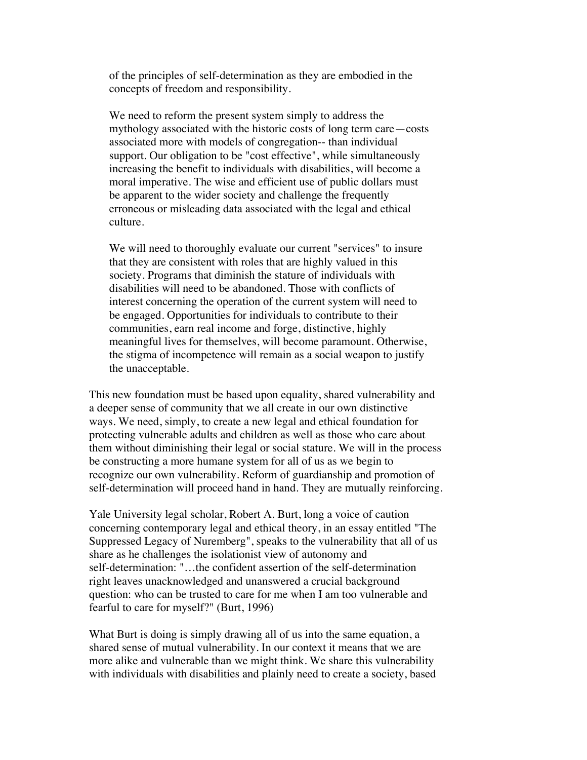of the principles of self-determination as they are embodied in the concepts of freedom and responsibility.

 We need to reform the present system simply to address the mythology associated with the historic costs of long term care—costs associated more with models of congregation-- than individual support. Our obligation to be "cost effective", while simultaneously increasing the benefit to individuals with disabilities, will become a moral imperative. The wise and efficient use of public dollars must be apparent to the wider society and challenge the frequently erroneous or misleading data associated with the legal and ethical culture.

 We will need to thoroughly evaluate our current "services" to insure that they are consistent with roles that are highly valued in this society. Programs that diminish the stature of individuals with disabilities will need to be abandoned. Those with conflicts of interest concerning the operation of the current system will need to be engaged. Opportunities for individuals to contribute to their communities, earn real income and forge, distinctive, highly meaningful lives for themselves, will become paramount. Otherwise, the stigma of incompetence will remain as a social weapon to justify the unacceptable.

 This new foundation must be based upon equality, shared vulnerability and a deeper sense of community that we all create in our own distinctive ways. We need, simply, to create a new legal and ethical foundation for protecting vulnerable adults and children as well as those who care about them without diminishing their legal or social stature. We will in the process be constructing a more humane system for all of us as we begin to recognize our own vulnerability. Reform of guardianship and promotion of self-determination will proceed hand in hand. They are mutually reinforcing.

 Yale University legal scholar, Robert A. Burt, long a voice of caution concerning contemporary legal and ethical theory, in an essay entitled "The Suppressed Legacy of Nuremberg", speaks to the vulnerability that all of us share as he challenges the isolationist view of autonomy and self-determination: "…the confident assertion of the self-determination right leaves unacknowledged and unanswered a crucial background question: who can be trusted to care for me when I am too vulnerable and fearful to care for myself?" (Burt, 1996)

 What Burt is doing is simply drawing all of us into the same equation, a shared sense of mutual vulnerability. In our context it means that we are more alike and vulnerable than we might think. We share this vulnerability with individuals with disabilities and plainly need to create a society, based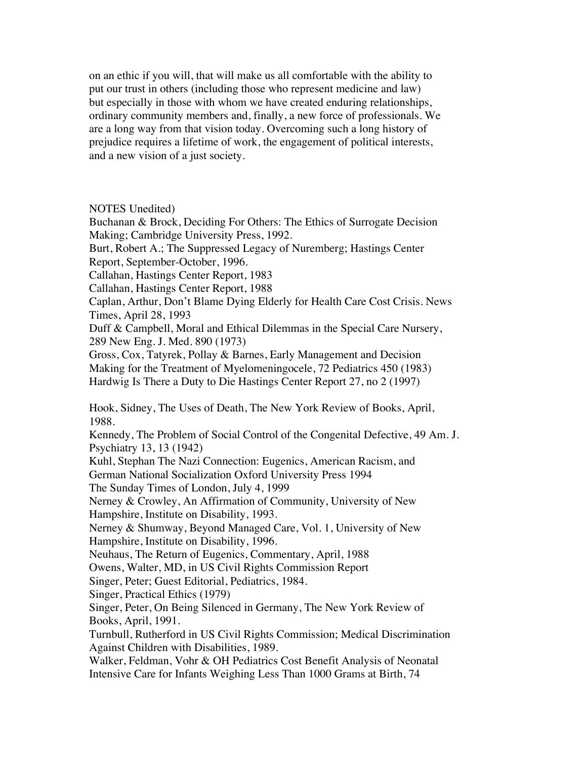on an ethic if you will, that will make us all comfortable with the ability to put our trust in others (including those who represent medicine and law) but especially in those with whom we have created enduring relationships, ordinary community members and, finally, a new force of professionals. We are a long way from that vision today. Overcoming such a long history of prejudice requires a lifetime of work, the engagement of political interests, and a new vision of a just society.

NOTES Unedited)

 Buchanan & Brock, Deciding For Others: The Ethics of Surrogate Decision Making; Cambridge University Press, 1992.

 Burt, Robert A.; The Suppressed Legacy of Nuremberg; Hastings Center Report, September-October, 1996.

Callahan, Hastings Center Report, 1983

Callahan, Hastings Center Report, 1988

 Caplan, Arthur, Don't Blame Dying Elderly for Health Care Cost Crisis. News Times, April 28, 1993

 Duff & Campbell, Moral and Ethical Dilemmas in the Special Care Nursery, 289 New Eng. J. Med. 890 (1973)

 Gross, Cox, Tatyrek, Pollay & Barnes, Early Management and Decision Making for the Treatment of Myelomeningocele, 72 Pediatrics 450 (1983) Hardwig Is There a Duty to Die Hastings Center Report 27, no 2 (1997)

 Hook, Sidney, The Uses of Death, The New York Review of Books, April, 1988.

 Kennedy, The Problem of Social Control of the Congenital Defective, 49 Am. J. Psychiatry 13, 13 (1942)

 Kuhl, Stephan The Nazi Connection: Eugenics, American Racism, and German National Socialization Oxford University Press 1994

The Sunday Times of London, July 4, 1999

 Nerney & Crowley, An Affirmation of Community, University of New Hampshire, Institute on Disability, 1993.

 Nerney & Shumway, Beyond Managed Care, Vol. 1, University of New Hampshire, Institute on Disability, 1996.

Neuhaus, The Return of Eugenics, Commentary, April, 1988

Owens, Walter, MD, in US Civil Rights Commission Report

Singer, Peter; Guest Editorial, Pediatrics, 1984.

Singer, Practical Ethics (1979)

 Singer, Peter, On Being Silenced in Germany, The New York Review of Books, April, 1991.

 Turnbull, Rutherford in US Civil Rights Commission; Medical Discrimination Against Children with Disabilities, 1989.

 Walker, Feldman, Vohr & OH Pediatrics Cost Benefit Analysis of Neonatal Intensive Care for Infants Weighing Less Than 1000 Grams at Birth, 74